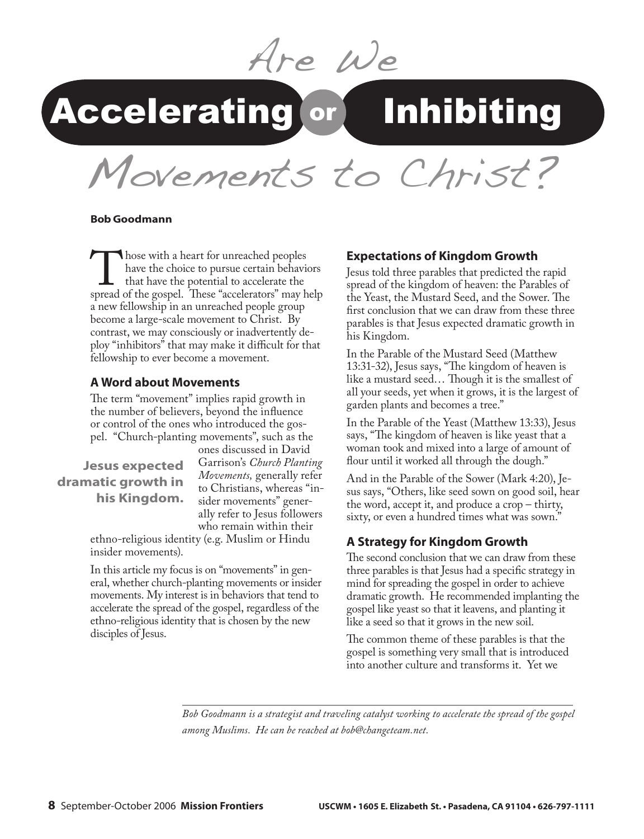Are We

# Accelerating or Inhibiting

Movements to Christ?

#### **Bob Goodmann**

Those with a heart for unreached peoples<br>have the choice to pursue certain behavior<br>that have the potential to accelerate the<br>spread of the gospel. These "accelerators" may h have the choice to pursue certain behaviors that have the potential to accelerate the spread of the gospel. These "accelerators" may help a new fellowship in an unreached people group become a large-scale movement to Christ. By contrast, we may consciously or inadvertently deploy "inhibitors" that may make it difficult for that fellowship to ever become a movement.

#### **A Word about Movements**

The term "movement" implies rapid growth in the number of believers, beyond the influence or control of the ones who introduced the gospel. "Church-planting movements", such as the

**Jesus expected dramatic growth in his Kingdom.** ones discussed in David Garrison's *Church Planting Movements,* generally refer to Christians, whereas "insider movements" generally refer to Jesus followers who remain within their

ethno-religious identity (e.g. Muslim or Hindu insider movements).

In this article my focus is on "movements" in general, whether church-planting movements or insider movements. My interest is in behaviors that tend to accelerate the spread of the gospel, regardless of the ethno-religious identity that is chosen by the new disciples of Jesus.

#### **Expectations of Kingdom Growth**

Jesus told three parables that predicted the rapid spread of the kingdom of heaven: the Parables of the Yeast, the Mustard Seed, and the Sower. The first conclusion that we can draw from these three parables is that Jesus expected dramatic growth in his Kingdom.

In the Parable of the Mustard Seed (Matthew 13:31-32), Jesus says, "The kingdom of heaven is like a mustard seed… Though it is the smallest of all your seeds, yet when it grows, it is the largest of garden plants and becomes a tree."

In the Parable of the Yeast (Matthew 13:33), Jesus says, "The kingdom of heaven is like yeast that a woman took and mixed into a large of amount of flour until it worked all through the dough."

And in the Parable of the Sower (Mark 4:20), Jesus says, "Others, like seed sown on good soil, hear the word, accept it, and produce a crop – thirty, sixty, or even a hundred times what was sown."

#### **A Strategy for Kingdom Growth**

The second conclusion that we can draw from these three parables is that Jesus had a specific strategy in mind for spreading the gospel in order to achieve dramatic growth. He recommended implanting the gospel like yeast so that it leavens, and planting it like a seed so that it grows in the new soil.

The common theme of these parables is that the gospel is something very small that is introduced into another culture and transforms it. Yet we

*Bob Goodmann is a strategist and traveling catalyst working to accelerate the spread of the gospel among Muslims. He can be reached at bob@changeteam.net.*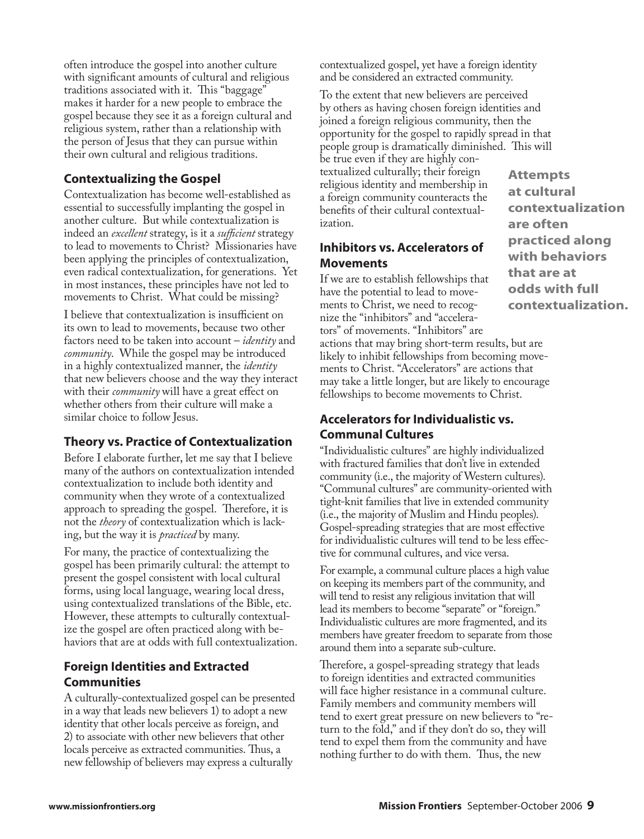often introduce the gospel into another culture with significant amounts of cultural and religious traditions associated with it. This "baggage" makes it harder for a new people to embrace the gospel because they see it as a foreign cultural and religious system, rather than a relationship with the person of Jesus that they can pursue within their own cultural and religious traditions.

### **Contextualizing the Gospel**

Contextualization has become well-established as essential to successfully implanting the gospel in another culture. But while contextualization is indeed an *excellent* strategy, is it a *sufficient* strategy to lead to movements to Christ? Missionaries have been applying the principles of contextualization, even radical contextualization, for generations. Yet in most instances, these principles have not led to movements to Christ. What could be missing?

I believe that contextualization is insufficient on its own to lead to movements, because two other factors need to be taken into account – *identity* and *community*. While the gospel may be introduced in a highly contextualized manner, the *identity* that new believers choose and the way they interact with their *community* will have a great effect on whether others from their culture will make a similar choice to follow Jesus.

### **Theory vs. Practice of Contextualization**

Before I elaborate further, let me say that I believe many of the authors on contextualization intended contextualization to include both identity and community when they wrote of a contextualized approach to spreading the gospel. Therefore, it is not the *theory* of contextualization which is lacking, but the way it is *practiced* by many.

For many, the practice of contextualizing the gospel has been primarily cultural: the attempt to present the gospel consistent with local cultural forms, using local language, wearing local dress, using contextualized translations of the Bible, etc. However, these attempts to culturally contextualize the gospel are often practiced along with behaviors that are at odds with full contextualization.

# **Foreign Identities and Extracted Communities**

A culturally-contextualized gospel can be presented in a way that leads new believers 1) to adopt a new identity that other locals perceive as foreign, and 2) to associate with other new believers that other locals perceive as extracted communities. Thus, a new fellowship of believers may express a culturally

contextualized gospel, yet have a foreign identity and be considered an extracted community.

To the extent that new believers are perceived by others as having chosen foreign identities and joined a foreign religious community, then the opportunity for the gospel to rapidly spread in that people group is dramatically diminished. This will

be true even if they are highly contextualized culturally; their foreign religious identity and membership in a foreign community counteracts the benefits of their cultural contextualization.

## **Inhibitors vs. Accelerators of Movements**

If we are to establish fellowships that have the potential to lead to movements to Christ, we need to recognize the "inhibitors" and "accelerators" of movements. "Inhibitors" are

actions that may bring short-term results, but are likely to inhibit fellowships from becoming movements to Christ. "Accelerators" are actions that may take a little longer, but are likely to encourage fellowships to become movements to Christ.

# **Accelerators for Individualistic vs. Communal Cultures**

"Individualistic cultures" are highly individualized with fractured families that don't live in extended community (i.e., the majority of Western cultures). "Communal cultures" are community-oriented with tight-knit families that live in extended community (i.e., the majority of Muslim and Hindu peoples). Gospel-spreading strategies that are most effective for individualistic cultures will tend to be less effective for communal cultures, and vice versa.

For example, a communal culture places a high value on keeping its members part of the community, and will tend to resist any religious invitation that will lead its members to become "separate" or "foreign." Individualistic cultures are more fragmented, and its members have greater freedom to separate from those around them into a separate sub-culture.

Therefore, a gospel-spreading strategy that leads to foreign identities and extracted communities will face higher resistance in a communal culture. Family members and community members will tend to exert great pressure on new believers to "return to the fold," and if they don't do so, they will tend to expel them from the community and have nothing further to do with them. Thus, the new

**Attempts at cultural contextualization are often practiced along with behaviors that are at odds with full contextualization.**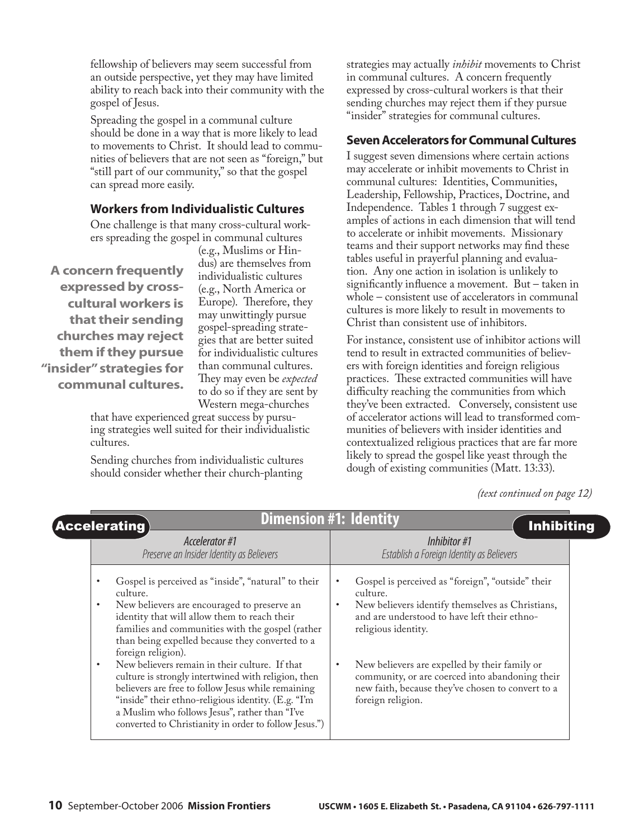fellowship of believers may seem successful from an outside perspective, yet they may have limited ability to reach back into their community with the gospel of Jesus.

Spreading the gospel in a communal culture should be done in a way that is more likely to lead to movements to Christ. It should lead to communities of believers that are not seen as "foreign," but "still part of our community," so that the gospel can spread more easily.

### **Workers from Individualistic Cultures**

One challenge is that many cross-cultural workers spreading the gospel in communal cultures

**A concern frequently expressed by crosscultural workers is that their sending churches may reject them if they pursue "insider" strategies for communal cultures.**

(e.g., Muslims or Hindus) are themselves from individualistic cultures (e.g., North America or Europe). Therefore, they may unwittingly pursue gospel-spreading strategies that are better suited for individualistic cultures than communal cultures. They may even be *expected*  to do so if they are sent by Western mega-churches

that have experienced great success by pursuing strategies well suited for their individualistic cultures.

Sending churches from individualistic cultures should consider whether their church-planting

strategies may actually *inhibit* movements to Christ in communal cultures. A concern frequently expressed by cross-cultural workers is that their sending churches may reject them if they pursue "insider" strategies for communal cultures.

#### **Seven Accelerators for Communal Cultures**

I suggest seven dimensions where certain actions may accelerate or inhibit movements to Christ in communal cultures: Identities, Communities, Leadership, Fellowship, Practices, Doctrine, and Independence. Tables 1 through 7 suggest examples of actions in each dimension that will tend to accelerate or inhibit movements. Missionary teams and their support networks may find these tables useful in prayerful planning and evaluation. Any one action in isolation is unlikely to significantly influence a movement. But – taken in whole – consistent use of accelerators in communal cultures is more likely to result in movements to Christ than consistent use of inhibitors.

For instance, consistent use of inhibitor actions will tend to result in extracted communities of believers with foreign identities and foreign religious practices. These extracted communities will have difficulty reaching the communities from which they've been extracted. Conversely, consistent use of accelerator actions will lead to transformed communities of believers with insider identities and contextualized religious practices that are far more likely to spread the gospel like yeast through the dough of existing communities (Matt. 13:33).

*(text continued on page 12)*

| <b>Dimension #1: Identity</b><br><b>(Accelerating)</b><br><b>Inhibiting</b>                                                                                                                                                                                                                                                                                                                                                                                                                                                                                                                                                                         |                                                                                                                                                                                                                                                                                                                                                                        |
|-----------------------------------------------------------------------------------------------------------------------------------------------------------------------------------------------------------------------------------------------------------------------------------------------------------------------------------------------------------------------------------------------------------------------------------------------------------------------------------------------------------------------------------------------------------------------------------------------------------------------------------------------------|------------------------------------------------------------------------------------------------------------------------------------------------------------------------------------------------------------------------------------------------------------------------------------------------------------------------------------------------------------------------|
| Accelerator #1<br>Preserve an Insider Identity as Believers                                                                                                                                                                                                                                                                                                                                                                                                                                                                                                                                                                                         | Inhibitor #1<br>Establish a Foreign Identity as Believers                                                                                                                                                                                                                                                                                                              |
| Gospel is perceived as "inside", "natural" to their<br>٠<br>culture.<br>New believers are encouraged to preserve an<br>٠<br>identity that will allow them to reach their<br>families and communities with the gospel (rather<br>than being expelled because they converted to a<br>foreign religion).<br>New believers remain in their culture. If that<br>$\bullet$<br>culture is strongly intertwined with religion, then<br>believers are free to follow Jesus while remaining<br>"inside" their ethno-religious identity. (E.g. "I'm<br>a Muslim who follows Jesus", rather than "I've<br>converted to Christianity in order to follow Jesus.") | Gospel is perceived as "foreign", "outside" their<br>culture.<br>New believers identify themselves as Christians,<br>and are understood to have left their ethno-<br>religious identity.<br>New believers are expelled by their family or<br>community, or are coerced into abandoning their<br>new faith, because they've chosen to convert to a<br>foreign religion. |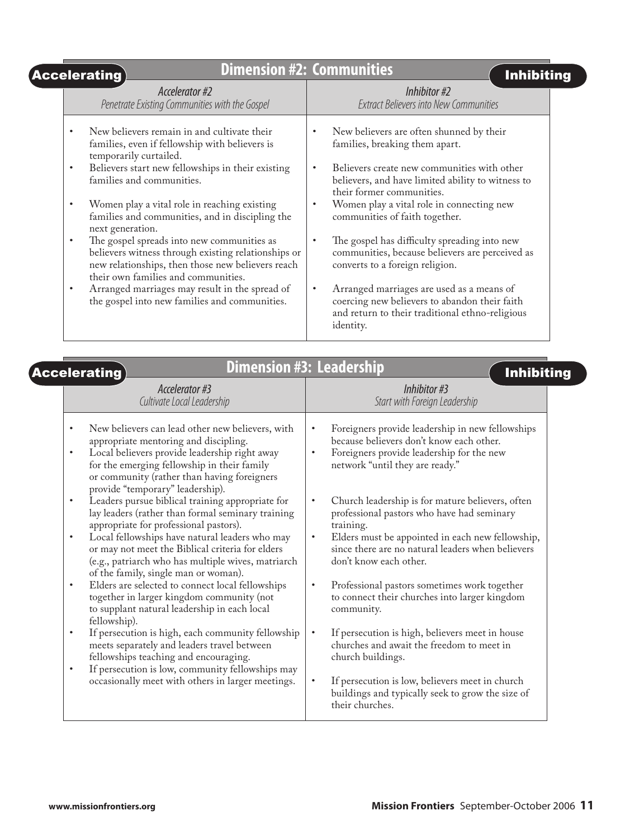| Accelerating $\rangle$                                                                                                                                                                                                 | <b>Dimension #2: Communities</b><br><b>Inhibiting</b>                                                                                                                                                                    |
|------------------------------------------------------------------------------------------------------------------------------------------------------------------------------------------------------------------------|--------------------------------------------------------------------------------------------------------------------------------------------------------------------------------------------------------------------------|
| Accelerator #2<br>Penetrate Existing Communities with the Gospel                                                                                                                                                       | Inhibitor #2<br><b>Extract Believers into New Communities</b>                                                                                                                                                            |
| New believers remain in and cultivate their<br>families, even if fellowship with believers is<br>temporarily curtailed.<br>Believers start new fellowships in their existing<br>$\bullet$<br>families and communities. | New believers are often shunned by their<br>families, breaking them apart.<br>Believers create new communities with other<br>$\bullet$<br>believers, and have limited ability to witness to<br>their former communities. |
| Women play a vital role in reaching existing<br>٠<br>families and communities, and in discipling the<br>next generation.                                                                                               | Women play a vital role in connecting new<br>$\bullet$<br>communities of faith together.                                                                                                                                 |
| The gospel spreads into new communities as<br>$\bullet$<br>believers witness through existing relationships or<br>new relationships, then those new believers reach<br>their own families and communities.             | The gospel has difficulty spreading into new<br>communities, because believers are perceived as<br>converts to a foreign religion.                                                                                       |
| Arranged marriages may result in the spread of<br>$\bullet$<br>the gospel into new families and communities.                                                                                                           | Arranged marriages are used as a means of<br>$\bullet$<br>coercing new believers to abandon their faith<br>and return to their traditional ethno-religious<br>identity.                                                  |

| <b>Dimension #3: Leadership</b><br><b>Accelerating</b>                                                                                                                                                                                                                                                                                                                        | <b>Inhibiting</b>                                                                                                                                                                                                                                                        |
|-------------------------------------------------------------------------------------------------------------------------------------------------------------------------------------------------------------------------------------------------------------------------------------------------------------------------------------------------------------------------------|--------------------------------------------------------------------------------------------------------------------------------------------------------------------------------------------------------------------------------------------------------------------------|
| Accelerator #3<br>Cultivate Local Leadership                                                                                                                                                                                                                                                                                                                                  | Inhibitor #3<br>Start with Foreign Leadership                                                                                                                                                                                                                            |
| New believers can lead other new believers, with<br>$\bullet$<br>appropriate mentoring and discipling.<br>Local believers provide leadership right away<br>$\bullet$<br>for the emerging fellowship in their family<br>or community (rather than having foreigners<br>provide "temporary" leadership).                                                                        | Foreigners provide leadership in new fellowships<br>$\bullet$<br>because believers don't know each other.<br>Foreigners provide leadership for the new<br>$\bullet$<br>network "until they are ready."                                                                   |
| Leaders pursue biblical training appropriate for<br>$\bullet$<br>lay leaders (rather than formal seminary training<br>appropriate for professional pastors).<br>Local fellowships have natural leaders who may<br>$\bullet$<br>or may not meet the Biblical criteria for elders<br>(e.g., patriarch who has multiple wives, matriarch<br>of the family, single man or woman). | Church leadership is for mature believers, often<br>$\bullet$<br>professional pastors who have had seminary<br>training.<br>Elders must be appointed in each new fellowship,<br>$\bullet$<br>since there are no natural leaders when believers<br>don't know each other. |
| Elders are selected to connect local fellowships<br>$\bullet$<br>together in larger kingdom community (not<br>to supplant natural leadership in each local<br>fellowship).                                                                                                                                                                                                    | Professional pastors sometimes work together<br>$\bullet$<br>to connect their churches into larger kingdom<br>community.                                                                                                                                                 |
| If persecution is high, each community fellowship<br>$\bullet$<br>meets separately and leaders travel between<br>fellowships teaching and encouraging.<br>If persecution is low, community fellowships may<br>$\bullet$                                                                                                                                                       | If persecution is high, believers meet in house<br>$\bullet$<br>churches and await the freedom to meet in<br>church buildings.                                                                                                                                           |
| occasionally meet with others in larger meetings.                                                                                                                                                                                                                                                                                                                             | If persecution is low, believers meet in church<br>$\bullet$<br>buildings and typically seek to grow the size of<br>their churches.                                                                                                                                      |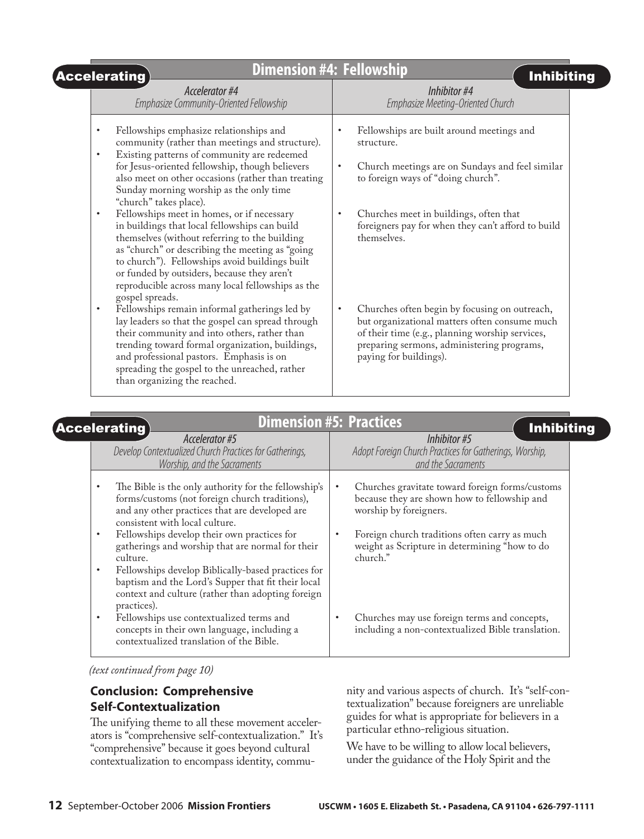| <b>Dimension #4: Fellowship</b><br>$[$ Accelerating $]$                                                                                                                                                                                                                                                                                                                                                                                 | <b>Inhibiting</b>                                                                                                                                                                                                                      |
|-----------------------------------------------------------------------------------------------------------------------------------------------------------------------------------------------------------------------------------------------------------------------------------------------------------------------------------------------------------------------------------------------------------------------------------------|----------------------------------------------------------------------------------------------------------------------------------------------------------------------------------------------------------------------------------------|
| Accelerator #4<br>Emphasize Community-Oriented Fellowship                                                                                                                                                                                                                                                                                                                                                                               | Inhibitor #4<br>Emphasize Meeting-Oriented Church                                                                                                                                                                                      |
| Fellowships emphasize relationships and<br>$\bullet$<br>community (rather than meetings and structure).<br>Existing patterns of community are redeemed<br>$\bullet$<br>for Jesus-oriented fellowship, though believers<br>also meet on other occasions (rather than treating                                                                                                                                                            | Fellowships are built around meetings and<br>$\bullet$<br>structure.<br>Church meetings are on Sundays and feel similar<br>$\bullet$<br>to foreign ways of "doing church".                                                             |
| Sunday morning worship as the only time<br>"church" takes place).<br>Fellowships meet in homes, or if necessary<br>$\bullet$<br>in buildings that local fellowships can build<br>themselves (without referring to the building<br>as "church" or describing the meeting as "going<br>to church"). Fellowships avoid buildings built<br>or funded by outsiders, because they aren't<br>reproducible across many local fellowships as the | Churches meet in buildings, often that<br>$\bullet$<br>foreigners pay for when they can't afford to build<br>themselves.                                                                                                               |
| gospel spreads.<br>Fellowships remain informal gatherings led by<br>$\bullet$<br>lay leaders so that the gospel can spread through<br>their community and into others, rather than<br>trending toward formal organization, buildings,<br>and professional pastors. Emphasis is on<br>spreading the gospel to the unreached, rather<br>than organizing the reached.                                                                      | Churches often begin by focusing on outreach,<br>$\bullet$<br>but organizational matters often consume much<br>of their time (e.g., planning worship services,<br>preparing sermons, administering programs,<br>paying for buildings). |

|           | <b>Dimension #5: Practices</b><br><b>Accelerating</b><br>Accelerator #5                                                                                                                    |           | <b>Inhibiting</b><br>Inhibitor #5                                                                                         |
|-----------|--------------------------------------------------------------------------------------------------------------------------------------------------------------------------------------------|-----------|---------------------------------------------------------------------------------------------------------------------------|
|           | Develop Contextualized Church Practices for Gatherings,<br>Worship, and the Sacraments                                                                                                     |           | Adopt Foreign Church Practices for Gatherings, Worship,<br>and the Sacraments                                             |
| $\bullet$ | The Bible is the only authority for the fellowship's<br>forms/customs (not foreign church traditions),<br>and any other practices that are developed are<br>consistent with local culture. | $\bullet$ | Churches gravitate toward foreign forms/customs<br>because they are shown how to fellowship and<br>worship by foreigners. |
| $\bullet$ | Fellowships develop their own practices for<br>gatherings and worship that are normal for their<br>culture.                                                                                | $\bullet$ | Foreign church traditions often carry as much<br>weight as Scripture in determining "how to do<br>church."                |
| $\bullet$ | Fellowships develop Biblically-based practices for<br>baptism and the Lord's Supper that fit their local<br>context and culture (rather than adopting foreign<br>practices).               |           |                                                                                                                           |
| $\bullet$ | Fellowships use contextualized terms and<br>concepts in their own language, including a<br>contextualized translation of the Bible.                                                        |           | Churches may use foreign terms and concepts,<br>including a non-contextualized Bible translation.                         |

*(text continued from page 10)*

# **Conclusion: Comprehensive Self-Contextualization**

The unifying theme to all these movement accelerators is "comprehensive self-contextualization." It's "comprehensive" because it goes beyond cultural contextualization to encompass identity, commu-

nity and various aspects of church. It's "self-contextualization" because foreigners are unreliable guides for what is appropriate for believers in a particular ethno-religious situation.

We have to be willing to allow local believers, under the guidance of the Holy Spirit and the